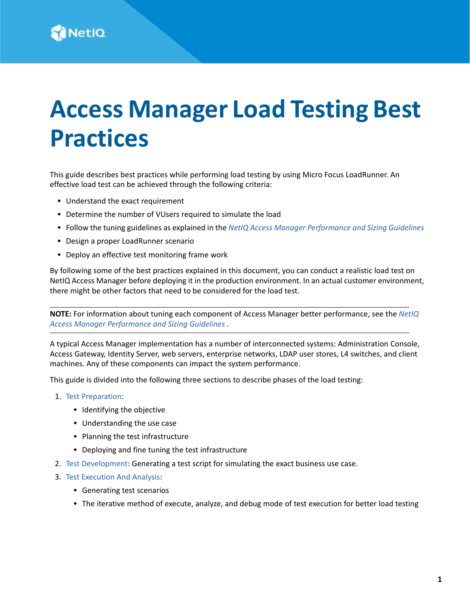# **Access Manager Load Testing Best Practices**

This guide describes best practices while performing load testing by using Micro Focus LoadRunner. An effective load test can be achieved through the following criteria:

- Understand the exact requirement
- Determine the number of VUsers required to simulate the load
- Follow the tuning guidelines as explained in the *[NetIQ Access Manager Performance and Sizing Guidelines](https://www.microfocus.com/documentation/access-manager/5.0/pdfdoc/performance-and-sizing-guidelines/performance-and-sizing-guidelines.pdf#bookinfo)*
- Design a proper LoadRunner scenario
- Deploy an effective test monitoring frame work

By following some of the best practices explained in this document, you can conduct a realistic load test on NetIQ Access Manager before deploying it in the production environment. In an actual customer environment, there might be other factors that need to be considered for the load test.

**NOTE:** For information about tuning each component of Access Manager better performance, see the *[NetIQ](https://www.microfocus.com/documentation/access-manager/5.0/pdfdoc/performance-and-sizing-guidelines/performance-and-sizing-guidelines.pdf#bookinfo)  [Access Manager Performance and Sizing Guidelines](https://www.microfocus.com/documentation/access-manager/5.0/pdfdoc/performance-and-sizing-guidelines/performance-and-sizing-guidelines.pdf#bookinfo)* .

A typical Access Manager implementation has a number of interconnected systems: Administration Console, Access Gateway, Identity Server, web servers, enterprise networks, LDAP user stores, L4 switches, and client machines. Any of these components can impact the system performance.

This guide is divided into the following three sections to describe phases of the load testing:

- 1. [Test Preparation:](#page-1-0)
	- Identifying the objective
	- Understanding the use case
	- Planning the test infrastructure
	- Deploying and fine tuning the test infrastructure
- 2. [Test Development](#page-2-0): Generating a test script for simulating the exact business use case.
- 3. [Test Execution And Analysis](#page-3-0):
	- Generating test scenarios
	- The iterative method of execute, analyze, and debug mode of test execution for better load testing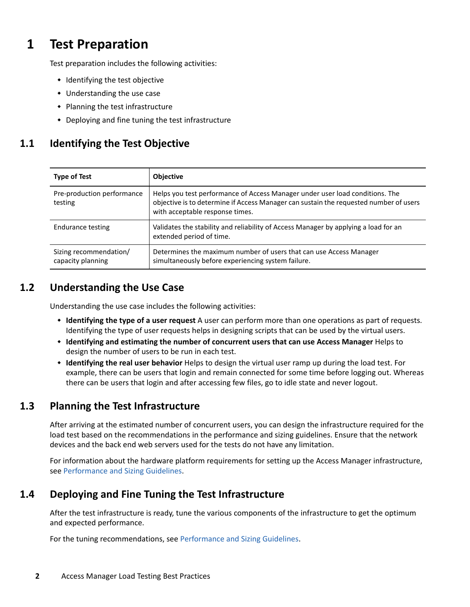# <span id="page-1-0"></span>**1 Test Preparation**

Test preparation includes the following activities:

- Identifying the test objective
- Understanding the use case
- Planning the test infrastructure
- Deploying and fine tuning the test infrastructure

### **1.1 Identifying the Test Objective**

| <b>Type of Test</b>                         | <b>Objective</b>                                                                                                                                                                                         |
|---------------------------------------------|----------------------------------------------------------------------------------------------------------------------------------------------------------------------------------------------------------|
| Pre-production performance<br>testing       | Helps you test performance of Access Manager under user load conditions. The<br>objective is to determine if Access Manager can sustain the requested number of users<br>with acceptable response times. |
| Endurance testing                           | Validates the stability and reliability of Access Manager by applying a load for an<br>extended period of time.                                                                                          |
| Sizing recommendation/<br>capacity planning | Determines the maximum number of users that can use Access Manager<br>simultaneously before experiencing system failure.                                                                                 |

#### **1.2 Understanding the Use Case**

Understanding the use case includes the following activities:

- **Identifying the type of a user request** A user can perform more than one operations as part of requests. Identifying the type of user requests helps in designing scripts that can be used by the virtual users.
- **Identifying and estimating the number of concurrent users that can use Access Manager** Helps to design the number of users to be run in each test.
- **Identifying the real user behavior** Helps to design the virtual user ramp up during the load test. For example, there can be users that login and remain connected for some time before logging out. Whereas there can be users that login and after accessing few files, go to idle state and never logout.

#### **1.3 Planning the Test Infrastructure**

After arriving at the estimated number of concurrent users, you can design the infrastructure required for the load test based on the recommendations in the performance and sizing guidelines. Ensure that the network devices and the back end web servers used for the tests do not have any limitation.

For information about the hardware platform requirements for setting up the Access Manager infrastructure, see [Performance and Sizing Guidelines](https://www.netiq.com/documentation/access-manager-45/performance-and-sizing-guidelines/data/bookinfo.html).

#### **1.4 Deploying and Fine Tuning the Test Infrastructure**

After the test infrastructure is ready, tune the various components of the infrastructure to get the optimum and expected performance.

For the tuning recommendations, see [Performance and Sizing Guidelines](https://www.netiq.com/documentation/access-manager-45/performance-and-sizing-guidelines/data/bookinfo.html).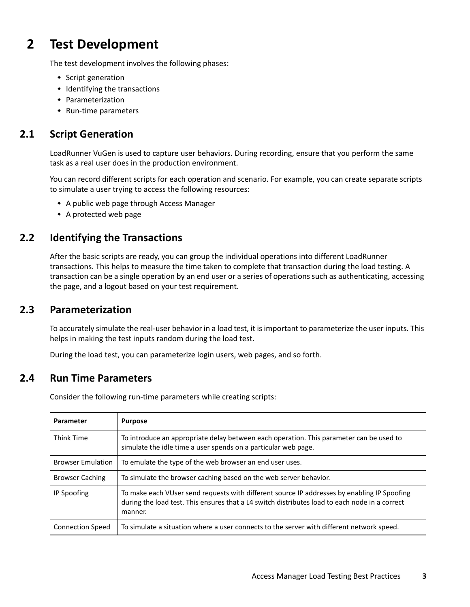# <span id="page-2-0"></span>**2 Test Development**

The test development involves the following phases:

- Script generation
- $\bullet$  Identifying the transactions
- Parameterization
- Run-time parameters

#### **2.1 Script Generation**

LoadRunner VuGen is used to capture user behaviors. During recording, ensure that you perform the same task as a real user does in the production environment.

You can record different scripts for each operation and scenario. For example, you can create separate scripts to simulate a user trying to access the following resources:

- A public web page through Access Manager
- A protected web page

#### **2.2 Identifying the Transactions**

After the basic scripts are ready, you can group the individual operations into different LoadRunner transactions. This helps to measure the time taken to complete that transaction during the load testing. A transaction can be a single operation by an end user or a series of operations such as authenticating, accessing the page, and a logout based on your test requirement.

#### **2.3 Parameterization**

To accurately simulate the real-user behavior in a load test, it is important to parameterize the user inputs. This helps in making the test inputs random during the load test.

During the load test, you can parameterize login users, web pages, and so forth.

#### **2.4 Run Time Parameters**

Consider the following run-time parameters while creating scripts:

| Parameter                | <b>Purpose</b>                                                                                                                                                                                           |
|--------------------------|----------------------------------------------------------------------------------------------------------------------------------------------------------------------------------------------------------|
| <b>Think Time</b>        | To introduce an appropriate delay between each operation. This parameter can be used to<br>simulate the idle time a user spends on a particular web page.                                                |
| <b>Browser Emulation</b> | To emulate the type of the web browser an end user uses.                                                                                                                                                 |
| <b>Browser Caching</b>   | To simulate the browser caching based on the web server behavior.                                                                                                                                        |
| IP Spoofing              | To make each VUser send requests with different source IP addresses by enabling IP Spoofing<br>during the load test. This ensures that a L4 switch distributes load to each node in a correct<br>manner. |
| <b>Connection Speed</b>  | To simulate a situation where a user connects to the server with different network speed.                                                                                                                |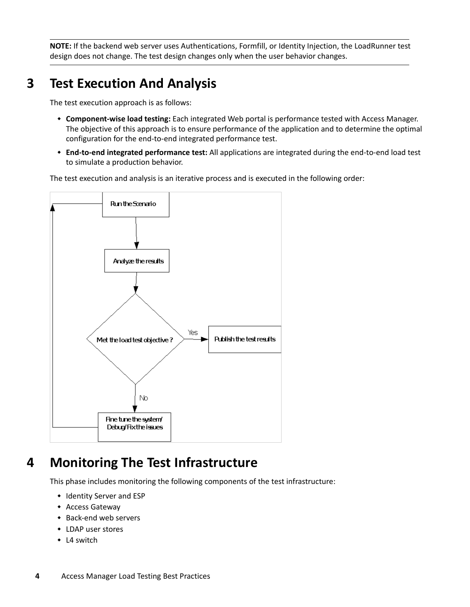**NOTE:** If the backend web server uses Authentications, Formfill, or Identity Injection, the LoadRunner test design does not change. The test design changes only when the user behavior changes.

# <span id="page-3-0"></span>**3 Test Execution And Analysis**

The test execution approach is as follows:

- **Component-wise load testing:** Each integrated Web portal is performance tested with Access Manager. The objective of this approach is to ensure performance of the application and to determine the optimal configuration for the end-to-end integrated performance test.
- **End-to-end integrated performance test:** All applications are integrated during the end-to-end load test to simulate a production behavior.

The test execution and analysis is an iterative process and is executed in the following order:



## **4 Monitoring The Test Infrastructure**

This phase includes monitoring the following components of the test infrastructure:

- Identity Server and ESP
- Access Gateway
- Back-end web servers
- LDAP user stores
- L4 switch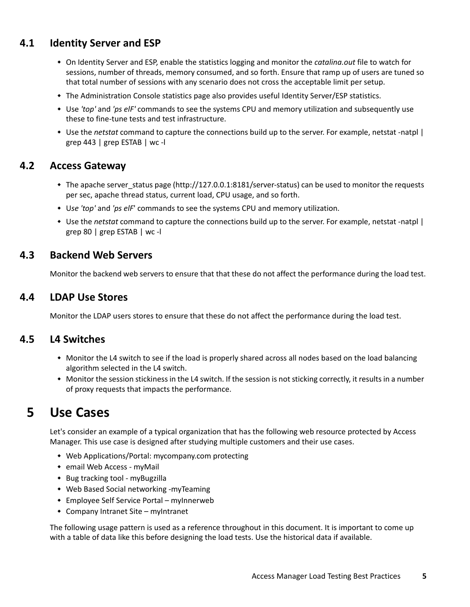#### **4.1 Identity Server and ESP**

- On Identity Server and ESP, enable the statistics logging and monitor the *catalina.out* file to watch for sessions, number of threads, memory consumed, and so forth. Ensure that ramp up of users are tuned so that total number of sessions with any scenario does not cross the acceptable limit per setup.
- The Administration Console statistics page also provides useful Identity Server/ESP statistics.
- Use *'top'* and *'ps elF'* commands to see the systems CPU and memory utilization and subsequently use these to fine-tune tests and test infrastructure.
- Use the *netstat* command to capture the connections build up to the server. For example, netstat -natpl | grep 443 | grep ESTAB | wc -l

#### **4.2 Access Gateway**

- The apache server status page (http://127.0.0.1:8181/server-status) can be used to monitor the requests per sec, apache thread status, current load, CPU usage, and so forth.
- U*se 'top'* and *'ps elF*' commands to see the systems CPU and memory utilization.
- Use the *netstat* command to capture the connections build up to the server. For example, netstat -natpl | grep 80 | grep ESTAB | wc -l

#### **4.3 Backend Web Servers**

Monitor the backend web servers to ensure that that these do not affect the performance during the load test.

#### **4.4 LDAP Use Stores**

Monitor the LDAP users stores to ensure that these do not affect the performance during the load test.

#### **4.5 L4 Switches**

- Monitor the L4 switch to see if the load is properly shared across all nodes based on the load balancing algorithm selected in the L4 switch.
- Monitor the session stickiness in the L4 switch. If the session is not sticking correctly, it results in a number of proxy requests that impacts the performance.

## **5 Use Cases**

Let's consider an example of a typical organization that has the following web resource protected by Access Manager. This use case is designed after studying multiple customers and their use cases.

- Web Applications/Portal: mycompany.com protecting
- email Web Access myMail
- Bug tracking tool myBugzilla
- Web Based Social networking -myTeaming
- Employee Self Service Portal myInnerweb
- Company Intranet Site myIntranet

The following usage pattern is used as a reference throughout in this document. It is important to come up with a table of data like this before designing the load tests. Use the historical data if available.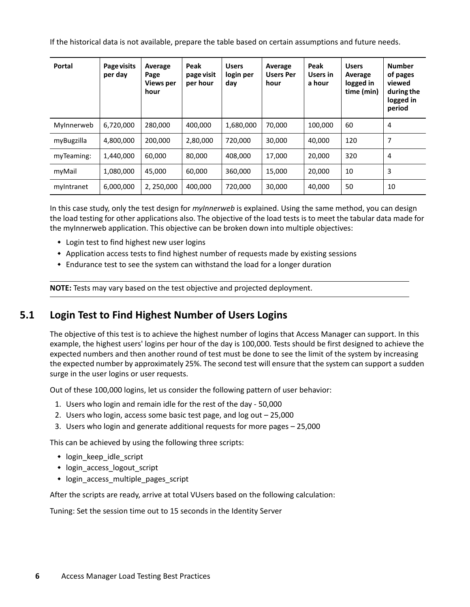If the historical data is not available, prepare the table based on certain assumptions and future needs.

| Portal     | Page visits<br>per day | Average<br>Page<br><b>Views per</b><br>hour | Peak<br>page visit<br>per hour | <b>Users</b><br>login per<br>day | Average<br><b>Users Per</b><br>hour | Peak<br>Users in<br>a hour | <b>Users</b><br>Average<br>logged in<br>time (min) | <b>Number</b><br>of pages<br>viewed<br>during the<br>logged in<br>period |
|------------|------------------------|---------------------------------------------|--------------------------------|----------------------------------|-------------------------------------|----------------------------|----------------------------------------------------|--------------------------------------------------------------------------|
| MyInnerweb | 6,720,000              | 280,000                                     | 400,000                        | 1,680,000                        | 70,000                              | 100,000                    | 60                                                 | $\overline{4}$                                                           |
| myBugzilla | 4,800,000              | 200,000                                     | 2,80,000                       | 720,000                          | 30,000                              | 40,000                     | 120                                                | 7                                                                        |
| myTeaming: | 1,440,000              | 60,000                                      | 80,000                         | 408,000                          | 17,000                              | 20,000                     | 320                                                | $\overline{4}$                                                           |
| myMail     | 1,080,000              | 45.000                                      | 60,000                         | 360,000                          | 15.000                              | 20,000                     | 10                                                 | 3                                                                        |
| myIntranet | 6,000,000              | 2, 250,000                                  | 400,000                        | 720,000                          | 30,000                              | 40,000                     | 50                                                 | 10                                                                       |

In this case study, only the test design for *myInnerweb* is explained. Using the same method, you can design the load testing for other applications also. The objective of the load tests is to meet the tabular data made for the myInnerweb application. This objective can be broken down into multiple objectives:

- Login test to find highest new user logins
- Application access tests to find highest number of requests made by existing sessions
- Endurance test to see the system can withstand the load for a longer duration

**NOTE:** Tests may vary based on the test objective and projected deployment.

#### **5.1 Login Test to Find Highest Number of Users Logins**

The objective of this test is to achieve the highest number of logins that Access Manager can support. In this example, the highest users' logins per hour of the day is 100,000. Tests should be first designed to achieve the expected numbers and then another round of test must be done to see the limit of the system by increasing the expected number by approximately 25%. The second test will ensure that the system can support a sudden surge in the user logins or user requests.

Out of these 100,000 logins, let us consider the following pattern of user behavior:

- 1. Users who login and remain idle for the rest of the day 50,000
- 2. Users who login, access some basic test page, and log out 25,000
- 3. Users who login and generate additional requests for more pages 25,000

This can be achieved by using the following three scripts:

- login keep idle script
- login access logout script
- login\_access\_multiple\_pages\_script

After the scripts are ready, arrive at total VUsers based on the following calculation:

Tuning: Set the session time out to 15 seconds in the Identity Server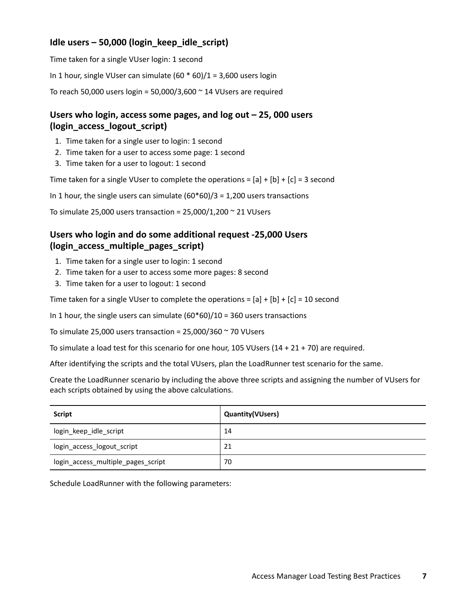#### **Idle users – 50,000 (login\_keep\_idle\_script)**

Time taken for a single VUser login: 1 second

In 1 hour, single VUser can simulate  $(60 * 60)/1 = 3,600$  users login

To reach 50,000 users login =  $50,000/3,600$   $\sim$  14 VUsers are required

#### **Users who login, access some pages, and log out – 25, 000 users (login\_access\_logout\_script)**

- 1. Time taken for a single user to login: 1 second
- 2. Time taken for a user to access some page: 1 second
- 3. Time taken for a user to logout: 1 second

Time taken for a single VUser to complete the operations =  $[a] + [b] + [c] = 3$  second

In 1 hour, the single users can simulate  $(60*60)/3 = 1,200$  users transactions

To simulate 25,000 users transaction =  $25,000/1,200 \approx 21$  VUsers

#### **Users who login and do some additional request -25,000 Users (login\_access\_multiple\_pages\_script)**

- 1. Time taken for a single user to login: 1 second
- 2. Time taken for a user to access some more pages: 8 second
- 3. Time taken for a user to logout: 1 second

Time taken for a single VUser to complete the operations =  $[a] + [b] + [c] = 10$  second

In 1 hour, the single users can simulate  $(60*60)/10 = 360$  users transactions

To simulate 25,000 users transaction =  $25,000/360 \approx 70$  VUsers

To simulate a load test for this scenario for one hour, 105 VUsers (14 + 21 + 70) are required.

After identifying the scripts and the total VUsers, plan the LoadRunner test scenario for the same.

Create the LoadRunner scenario by including the above three scripts and assigning the number of VUsers for each scripts obtained by using the above calculations.

| <b>Script</b>                      | <b>Quantity (VUsers)</b> |
|------------------------------------|--------------------------|
| login_keep_idle_script             | 14                       |
| login_access_logout_script         | 21                       |
| login_access_multiple_pages_script | 70                       |

Schedule LoadRunner with the following parameters: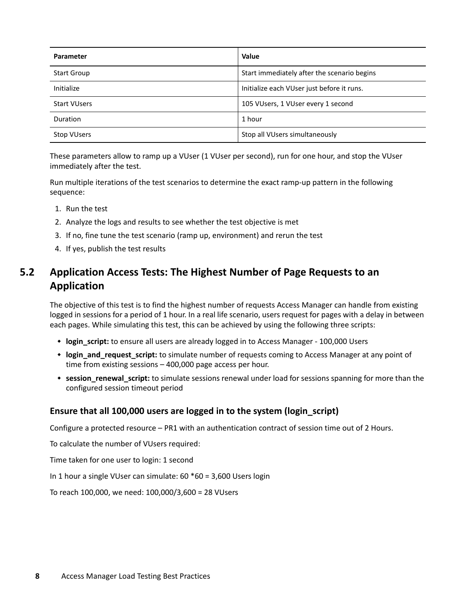| <b>Parameter</b>    | <b>Value</b>                                |
|---------------------|---------------------------------------------|
| <b>Start Group</b>  | Start immediately after the scenario begins |
| Initialize          | Initialize each VUser just before it runs.  |
| <b>Start VUsers</b> | 105 VUsers, 1 VUser every 1 second          |
| Duration            | 1 hour                                      |
| <b>Stop VUsers</b>  | Stop all VUsers simultaneously              |

These parameters allow to ramp up a VUser (1 VUser per second), run for one hour, and stop the VUser immediately after the test.

Run multiple iterations of the test scenarios to determine the exact ramp-up pattern in the following sequence:

- 1. Run the test
- 2. Analyze the logs and results to see whether the test objective is met
- 3. If no, fine tune the test scenario (ramp up, environment) and rerun the test
- 4. If yes, publish the test results

## **5.2 Application Access Tests: The Highest Number of Page Requests to an Application**

The objective of this test is to find the highest number of requests Access Manager can handle from existing logged in sessions for a period of 1 hour. In a real life scenario, users request for pages with a delay in between each pages. While simulating this test, this can be achieved by using the following three scripts:

- **login\_script:** to ensure all users are already logged in to Access Manager 100,000 Users
- **login and request script:** to simulate number of requests coming to Access Manager at any point of time from existing sessions – 400,000 page access per hour.
- \* session renewal script: to simulate sessions renewal under load for sessions spanning for more than the configured session timeout period

#### **Ensure that all 100,000 users are logged in to the system (login\_script)**

Configure a protected resource – PR1 with an authentication contract of session time out of 2 Hours.

To calculate the number of VUsers required:

Time taken for one user to login: 1 second

In 1 hour a single VUser can simulate: 60 \*60 = 3,600 Users login

To reach 100,000, we need: 100,000/3,600 = 28 VUsers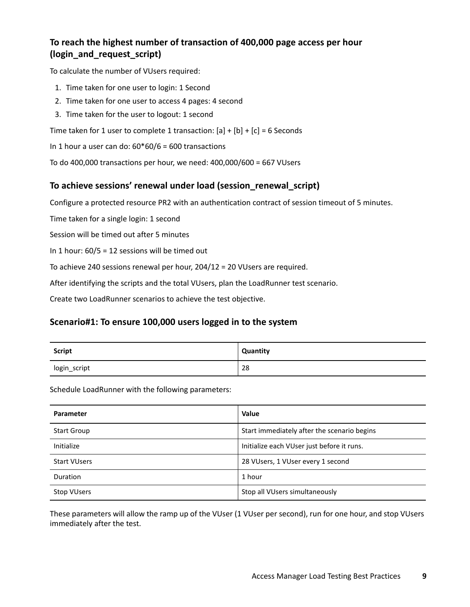#### **To reach the highest number of transaction of 400,000 page access per hour (login\_and\_request\_script)**

To calculate the number of VUsers required:

- 1. Time taken for one user to login: 1 Second
- 2. Time taken for one user to access 4 pages: 4 second
- 3. Time taken for the user to logout: 1 second

Time taken for 1 user to complete 1 transaction:  $[a] + [b] + [c] = 6$  Seconds

In 1 hour a user can do:  $60*60/6 = 600$  transactions

To do 400,000 transactions per hour, we need: 400,000/600 = 667 VUsers

#### **To achieve sessions' renewal under load (session\_renewal\_script)**

Configure a protected resource PR2 with an authentication contract of session timeout of 5 minutes.

Time taken for a single login: 1 second

Session will be timed out after 5 minutes

In 1 hour: 60/5 = 12 sessions will be timed out

To achieve 240 sessions renewal per hour, 204/12 = 20 VUsers are required.

After identifying the scripts and the total VUsers, plan the LoadRunner test scenario.

Create two LoadRunner scenarios to achieve the test objective.

#### **Scenario#1: To ensure 100,000 users logged in to the system**

| <b>Script</b> | Quantity |
|---------------|----------|
| login_script  | 28       |

Schedule LoadRunner with the following parameters:

| <b>Parameter</b>    | <b>Value</b>                                |
|---------------------|---------------------------------------------|
| <b>Start Group</b>  | Start immediately after the scenario begins |
| Initialize          | Initialize each VUser just before it runs.  |
| <b>Start VUsers</b> | 28 VUsers, 1 VUser every 1 second           |
| Duration            | 1 hour                                      |
| <b>Stop VUsers</b>  | Stop all VUsers simultaneously              |

These parameters will allow the ramp up of the VUser (1 VUser per second), run for one hour, and stop VUsers immediately after the test.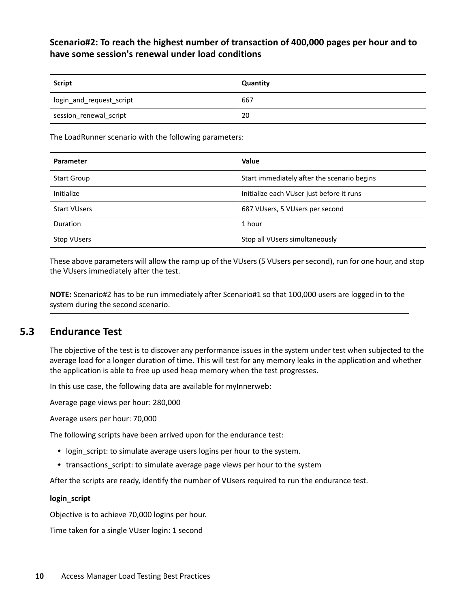#### **Scenario#2: To reach the highest number of transaction of 400,000 pages per hour and to have some session's renewal under load conditions**

| <b>Script</b>            | Quantity |
|--------------------------|----------|
| login_and_request_script | 667      |
| session_renewal_script   | 20       |

The LoadRunner scenario with the following parameters:

| <b>Parameter</b>    | Value                                       |
|---------------------|---------------------------------------------|
| <b>Start Group</b>  | Start immediately after the scenario begins |
| Initialize          | Initialize each VUser just before it runs   |
| <b>Start VUsers</b> | 687 VUsers, 5 VUsers per second             |
| Duration            | 1 hour                                      |
| <b>Stop VUsers</b>  | Stop all VUsers simultaneously              |

These above parameters will allow the ramp up of the VUsers (5 VUsers per second), run for one hour, and stop the VUsers immediately after the test.

**NOTE:** Scenario#2 has to be run immediately after Scenario#1 so that 100,000 users are logged in to the system during the second scenario.

#### **5.3 Endurance Test**

The objective of the test is to discover any performance issues in the system under test when subjected to the average load for a longer duration of time. This will test for any memory leaks in the application and whether the application is able to free up used heap memory when the test progresses.

In this use case, the following data are available for myInnerweb:

Average page views per hour: 280,000

Average users per hour: 70,000

The following scripts have been arrived upon for the endurance test:

- login\_script: to simulate average users logins per hour to the system.
- transactions script: to simulate average page views per hour to the system

After the scripts are ready, identify the number of VUsers required to run the endurance test.

#### **login\_script**

Objective is to achieve 70,000 logins per hour.

Time taken for a single VUser login: 1 second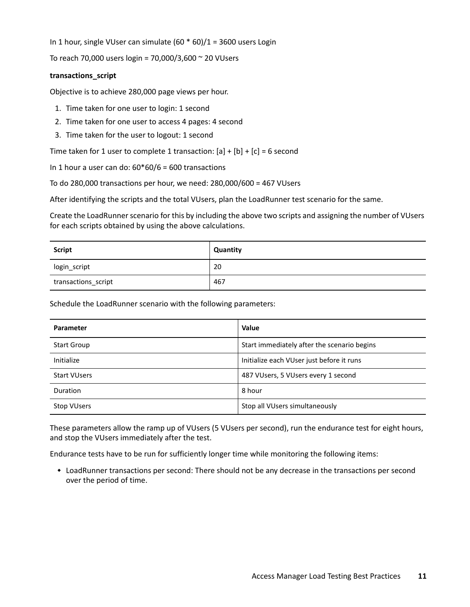In 1 hour, single VUser can simulate (60 \* 60)/1 = 3600 users Login

To reach 70,000 users login = 70,000/3,600 ~ 20 VUsers

#### **transactions\_script**

Objective is to achieve 280,000 page views per hour.

- 1. Time taken for one user to login: 1 second
- 2. Time taken for one user to access 4 pages: 4 second
- 3. Time taken for the user to logout: 1 second

Time taken for 1 user to complete 1 transaction:  $[a] + [b] + [c] = 6$  second

In 1 hour a user can do:  $60*60/6 = 600$  transactions

To do 280,000 transactions per hour, we need: 280,000/600 = 467 VUsers

After identifying the scripts and the total VUsers, plan the LoadRunner test scenario for the same.

Create the LoadRunner scenario for this by including the above two scripts and assigning the number of VUsers for each scripts obtained by using the above calculations.

| <b>Script</b>       | Quantity |
|---------------------|----------|
| login_script        | 20       |
| transactions_script | 467      |

Schedule the LoadRunner scenario with the following parameters:

| <b>Parameter</b>    | <b>Value</b>                                |
|---------------------|---------------------------------------------|
| <b>Start Group</b>  | Start immediately after the scenario begins |
| Initialize          | Initialize each VUser just before it runs   |
| <b>Start VUsers</b> | 487 VUsers, 5 VUsers every 1 second         |
| Duration            | 8 hour                                      |
| <b>Stop VUsers</b>  | Stop all VUsers simultaneously              |

These parameters allow the ramp up of VUsers (5 VUsers per second), run the endurance test for eight hours, and stop the VUsers immediately after the test.

Endurance tests have to be run for sufficiently longer time while monitoring the following items:

 LoadRunner transactions per second: There should not be any decrease in the transactions per second over the period of time.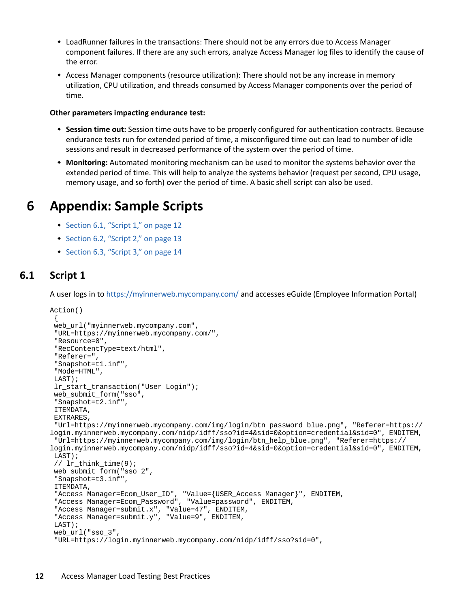- LoadRunner failures in the transactions: There should not be any errors due to Access Manager component failures. If there are any such errors, analyze Access Manager log files to identify the cause of the error.
- Access Manager components (resource utilization): There should not be any increase in memory utilization, CPU utilization, and threads consumed by Access Manager components over the period of time.

#### **Other parameters impacting endurance test:**

- **Session time out:** Session time outs have to be properly configured for authentication contracts. Because endurance tests run for extended period of time, a misconfigured time out can lead to number of idle sessions and result in decreased performance of the system over the period of time.
- **Monitoring:** Automated monitoring mechanism can be used to monitor the systems behavior over the extended period of time. This will help to analyze the systems behavior (request per second, CPU usage, memory usage, and so forth) over the period of time. A basic shell script can also be used.

## **6 Appendix: Sample Scripts**

- [Section 6.1, "Script 1," on page 12](#page-11-0)
- [Section 6.2, "Script 2," on page 13](#page-12-0)
- [Section 6.3, "Script 3," on page 14](#page-13-0)

#### <span id="page-11-0"></span>**6.1 Script 1**

A user logs in to https://myinnerweb.mycompany.com/ and accesses eGuide (Employee Information Portal)

```
Action()
 {
  web_url("myinnerweb.mycompany.com", 
  "URL=https://myinnerweb.mycompany.com/", 
  "Resource=0", 
  "RecContentType=text/html", 
  "Referer=", 
  "Snapshot=t1.inf", 
  "Mode=HTML", 
  LAST);
  lr_start_transaction("User Login");
 web submit form("sso",
  "Snapshot=t2.inf", 
  ITEMDATA, 
  EXTRARES, 
  "Url=https://myinnerweb.mycompany.com/img/login/btn_password_blue.png", "Referer=https://
login.myinnerweb.mycompany.com/nidp/idff/sso?id=4&sid=0&option=credential&sid=0", ENDITEM, 
  "Url=https://myinnerweb.mycompany.com/img/login/btn_help_blue.png", "Referer=https://
login.myinnerweb.mycompany.com/nidp/idff/sso?id=4&sid=0&option=credential&sid=0", ENDITEM, 
  LAST);
 // lr think time(9);
 web_submit_form("sso_2",
  "Snapshot=t3.inf", 
  ITEMDATA, 
 "Access Manager=Ecom_User_ID", "Value={USER_Access Manager}", ENDITEM, 
 "Access Manager=Ecom_Password", "Value=password", ENDITEM, 
  "Access Manager=submit.x", "Value=47", ENDITEM, 
  "Access Manager=submit.y", "Value=9", ENDITEM, 
  LAST);
 web url("sso 3",
  "URL=https://login.myinnerweb.mycompany.com/nidp/idff/sso?sid=0",
```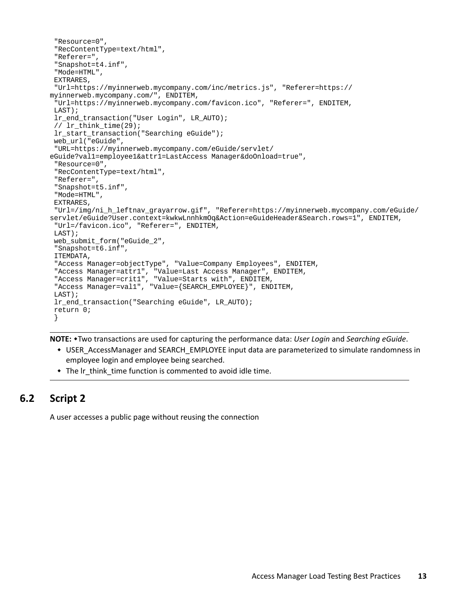```
 "Resource=0", 
  "RecContentType=text/html", 
  "Referer=", 
  "Snapshot=t4.inf", 
  "Mode=HTML", 
  EXTRARES, 
  "Url=https://myinnerweb.mycompany.com/inc/metrics.js", "Referer=https://
myinnerweb.mycompany.com/", ENDITEM, 
  "Url=https://myinnerweb.mycompany.com/favicon.ico", "Referer=", ENDITEM, 
  LAST);
  lr_end_transaction("User Login", LR_AUTO);
  // lr_think_time(29);
  lr_start_transaction("Searching eGuide");
  web_url("eGuide", 
  "URL=https://myinnerweb.mycompany.com/eGuide/servlet/
eGuide?val1=employee1&attr1=LastAccess Manager&doOnload=true", 
  "Resource=0", 
  "RecContentType=text/html", 
  "Referer=", 
  "Snapshot=t5.inf", 
  "Mode=HTML", 
  EXTRARES, 
  "Url=/img/ni_h_leftnav_grayarrow.gif", "Referer=https://myinnerweb.mycompany.com/eGuide/
servlet/eGuide?User.context=kwkwLnnhkmOq&Action=eGuideHeader&Search.rows=1", ENDITEM, 
  "Url=/favicon.ico", "Referer=", ENDITEM, 
  LAST);
 web_submit_form("eGuide_2",
  "Snapshot=t6.inf", 
  ITEMDATA, 
  "Access Manager=objectType", "Value=Company Employees", ENDITEM, 
 "Access Manager=attr1", "Value=Last Access Manager", ENDITEM, 
 "Access Manager=crit1", "Value=Starts with", ENDITEM, 
 "Access Manager=val1", "Value={SEARCH_EMPLOYEE}", ENDITEM, 
  LAST);
  lr_end_transaction("Searching eGuide", LR_AUTO);
  return 0;
  }
```
**NOTE:** Two transactions are used for capturing the performance data: *User Login* and *Searching eGuide*.

- USER AccessManager and SEARCH\_EMPLOYEE input data are parameterized to simulate randomness in employee login and employee being searched.
- The Ir think time function is commented to avoid idle time.

## <span id="page-12-0"></span>**6.2 Script 2**

A user accesses a public page without reusing the connection